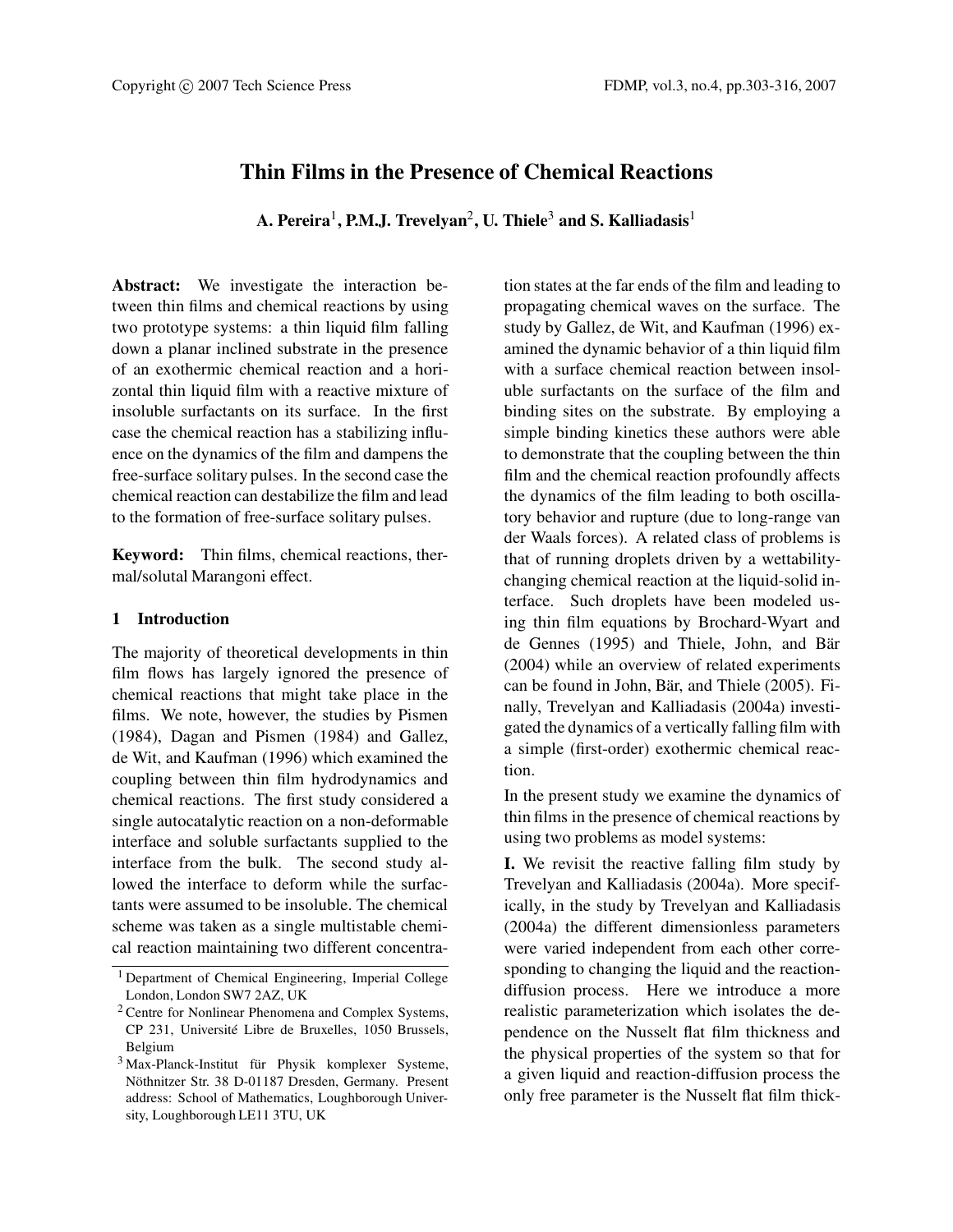# **Thin Films in the Presence of Chemical Reactions**

**A. Pereira**1**, P.M.J. Trevelyan**2**, U. Thiele**<sup>3</sup> **and S. Kalliadasis**<sup>1</sup>

**Abstract:** We investigate the interaction between thin films and chemical reactions by using two prototype systems: a thin liquid film falling down a planar inclined substrate in the presence of an exothermic chemical reaction and a horizontal thin liquid film with a reactive mixture of insoluble surfactants on its surface. In the first case the chemical reaction has a stabilizing influence on the dynamics of the film and dampens the free-surface solitary pulses. In the second case the chemical reaction can destabilize the film and lead to the formation of free-surface solitary pulses.

**Keyword:** Thin films, chemical reactions, thermal/solutal Marangoni effect.

## **1 Introduction**

The majority of theoretical developments in thin film flows has largely ignored the presence of chemical reactions that might take place in the films. We note, however, the studies by Pismen (1984), Dagan and Pismen (1984) and Gallez, de Wit, and Kaufman (1996) which examined the coupling between thin film hydrodynamics and chemical reactions. The first study considered a single autocatalytic reaction on a non-deformable interface and soluble surfactants supplied to the interface from the bulk. The second study allowed the interface to deform while the surfactants were assumed to be insoluble. The chemical scheme was taken as a single multistable chemical reaction maintaining two different concentration states at the far ends of the film and leading to propagating chemical waves on the surface. The study by Gallez, de Wit, and Kaufman (1996) examined the dynamic behavior of a thin liquid film with a surface chemical reaction between insoluble surfactants on the surface of the film and binding sites on the substrate. By employing a simple binding kinetics these authors were able to demonstrate that the coupling between the thin film and the chemical reaction profoundly affects the dynamics of the film leading to both oscillatory behavior and rupture (due to long-range van der Waals forces). A related class of problems is that of running droplets driven by a wettabilitychanging chemical reaction at the liquid-solid interface. Such droplets have been modeled using thin film equations by Brochard-Wyart and de Gennes (1995) and Thiele, John, and Bär (2004) while an overview of related experiments can be found in John, Bär, and Thiele (2005). Finally, Trevelyan and Kalliadasis (2004a) investigated the dynamics of a vertically falling film with a simple (first-order) exothermic chemical reaction.

In the present study we examine the dynamics of thin films in the presence of chemical reactions by using two problems as model systems:

**I.** We revisit the reactive falling film study by Trevelyan and Kalliadasis (2004a). More specifically, in the study by Trevelyan and Kalliadasis (2004a) the different dimensionless parameters were varied independent from each other corresponding to changing the liquid and the reactiondiffusion process. Here we introduce a more realistic parameterization which isolates the dependence on the Nusselt flat film thickness and the physical properties of the system so that for a given liquid and reaction-diffusion process the only free parameter is the Nusselt flat film thick-

<sup>1</sup> Department of Chemical Engineering, Imperial College London, London SW7 2AZ, UK

<sup>2</sup> Centre for Nonlinear Phenomena and Complex Systems, CP 231, Université Libre de Bruxelles, 1050 Brussels, Belgium

<sup>3</sup> Max-Planck-Institut für Physik komplexer Systeme, Nöthnitzer Str. 38 D-01187 Dresden, Germany. Present address: School of Mathematics, Loughborough University, Loughborough LE11 3TU, UK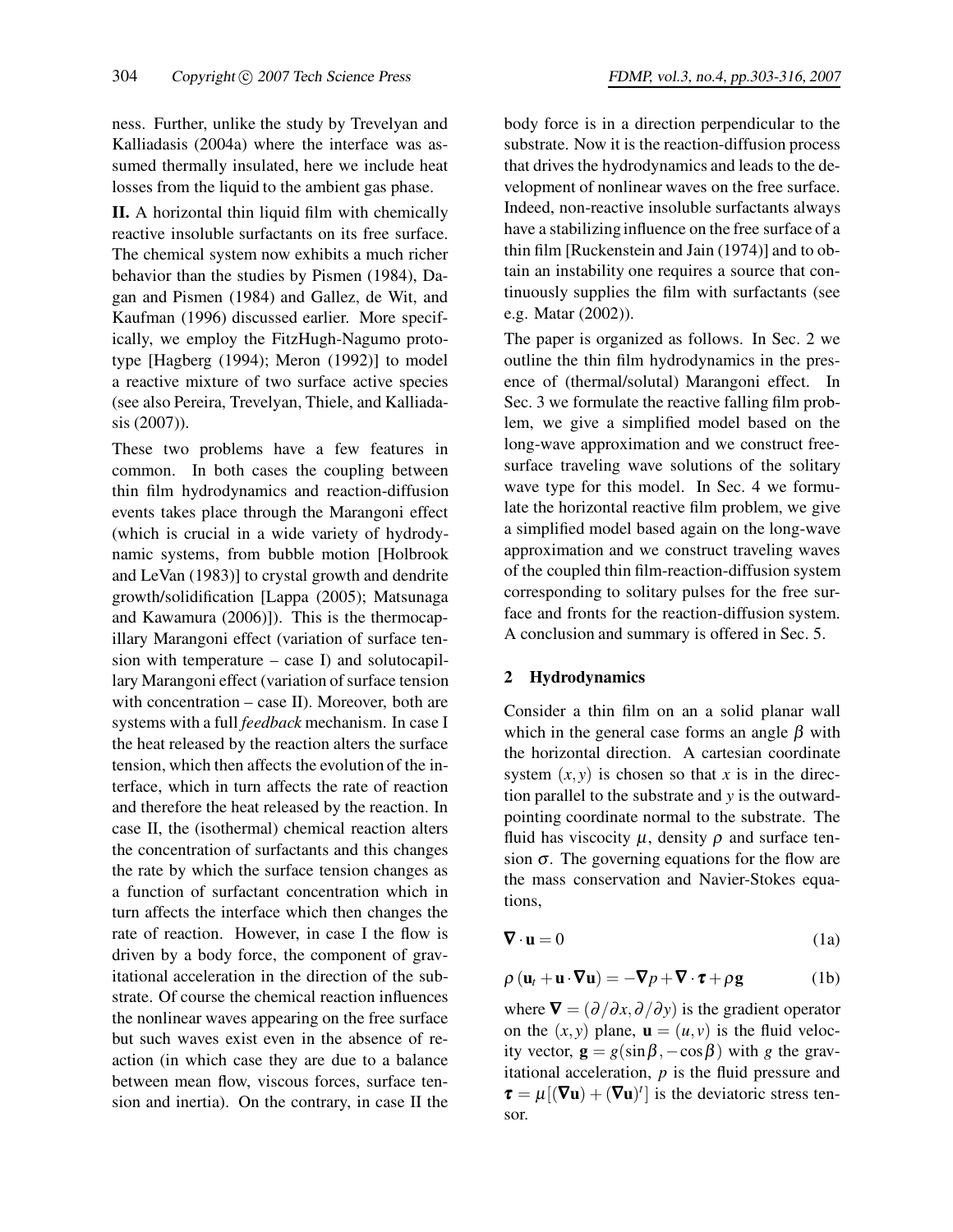ness. Further, unlike the study by Trevelyan and Kalliadasis (2004a) where the interface was assumed thermally insulated, here we include heat losses from the liquid to the ambient gas phase.

**II.** A horizontal thin liquid film with chemically reactive insoluble surfactants on its free surface. The chemical system now exhibits a much richer behavior than the studies by Pismen (1984), Dagan and Pismen (1984) and Gallez, de Wit, and Kaufman (1996) discussed earlier. More specifically, we employ the FitzHugh-Nagumo prototype [Hagberg (1994); Meron (1992)] to model a reactive mixture of two surface active species (see also Pereira, Trevelyan, Thiele, and Kalliadasis (2007)).

These two problems have a few features in common. In both cases the coupling between thin film hydrodynamics and reaction-diffusion events takes place through the Marangoni effect (which is crucial in a wide variety of hydrodynamic systems, from bubble motion [Holbrook and LeVan (1983)] to crystal growth and dendrite growth/solidification [Lappa (2005); Matsunaga and Kawamura (2006)]). This is the thermocapillary Marangoni effect (variation of surface tension with temperature  $-$  case I) and solutocapillary Marangoni effect (variation of surface tension with concentration – case II). Moreover, both are systems with a full *feedback* mechanism. In case I the heat released by the reaction alters the surface tension, which then affects the evolution of the interface, which in turn affects the rate of reaction and therefore the heat released by the reaction. In case II, the (isothermal) chemical reaction alters the concentration of surfactants and this changes the rate by which the surface tension changes as a function of surfactant concentration which in turn affects the interface which then changes the rate of reaction. However, in case I the flow is driven by a body force, the component of gravitational acceleration in the direction of the substrate. Of course the chemical reaction influences the nonlinear waves appearing on the free surface but such waves exist even in the absence of reaction (in which case they are due to a balance between mean flow, viscous forces, surface tension and inertia). On the contrary, in case II the body force is in a direction perpendicular to the substrate. Now it is the reaction-diffusion process that drives the hydrodynamics and leads to the development of nonlinear waves on the free surface. Indeed, non-reactive insoluble surfactants always have a stabilizing influence on the free surface of a

thin film [Ruckenstein and Jain (1974)] and to obtain an instability one requires a source that continuously supplies the film with surfactants (see e.g. Matar (2002)).

The paper is organized as follows. In Sec. 2 we outline the thin film hydrodynamics in the presence of (thermal/solutal) Marangoni effect. In Sec. 3 we formulate the reactive falling film problem, we give a simplified model based on the long-wave approximation and we construct freesurface traveling wave solutions of the solitary wave type for this model. In Sec. 4 we formulate the horizontal reactive film problem, we give a simplified model based again on the long-wave approximation and we construct traveling waves of the coupled thin film-reaction-diffusion system corresponding to solitary pulses for the free surface and fronts for the reaction-diffusion system. A conclusion and summary is offered in Sec. 5.

## **2 Hydrodynamics**

Consider a thin film on an a solid planar wall which in the general case forms an angle  $\beta$  with the horizontal direction. A cartesian coordinate system  $(x, y)$  is chosen so that x is in the direction parallel to the substrate and *y* is the outwardpointing coordinate normal to the substrate. The fluid has viscocity  $\mu$ , density  $\rho$  and surface tension  $\sigma$ . The governing equations for the flow are the mass conservation and Navier-Stokes equations,

$$
\nabla \cdot \mathbf{u} = 0 \tag{1a}
$$

$$
\rho (\mathbf{u}_t + \mathbf{u} \cdot \nabla \mathbf{u}) = -\nabla p + \nabla \cdot \boldsymbol{\tau} + \rho \mathbf{g} \tag{1b}
$$

where  $\nabla = (\partial/\partial x, \partial/\partial y)$  is the gradient operator on the  $(x, y)$  plane,  $\mathbf{u} = (u, v)$  is the fluid velocity vector,  $\mathbf{g} = g(\sin \beta, -\cos \beta)$  with *g* the gravitational acceleration, *p* is the fluid pressure and  $\tau = \mu [(\nabla \mathbf{u}) + (\nabla \mathbf{u})^t]$  is the deviatoric stress tensor.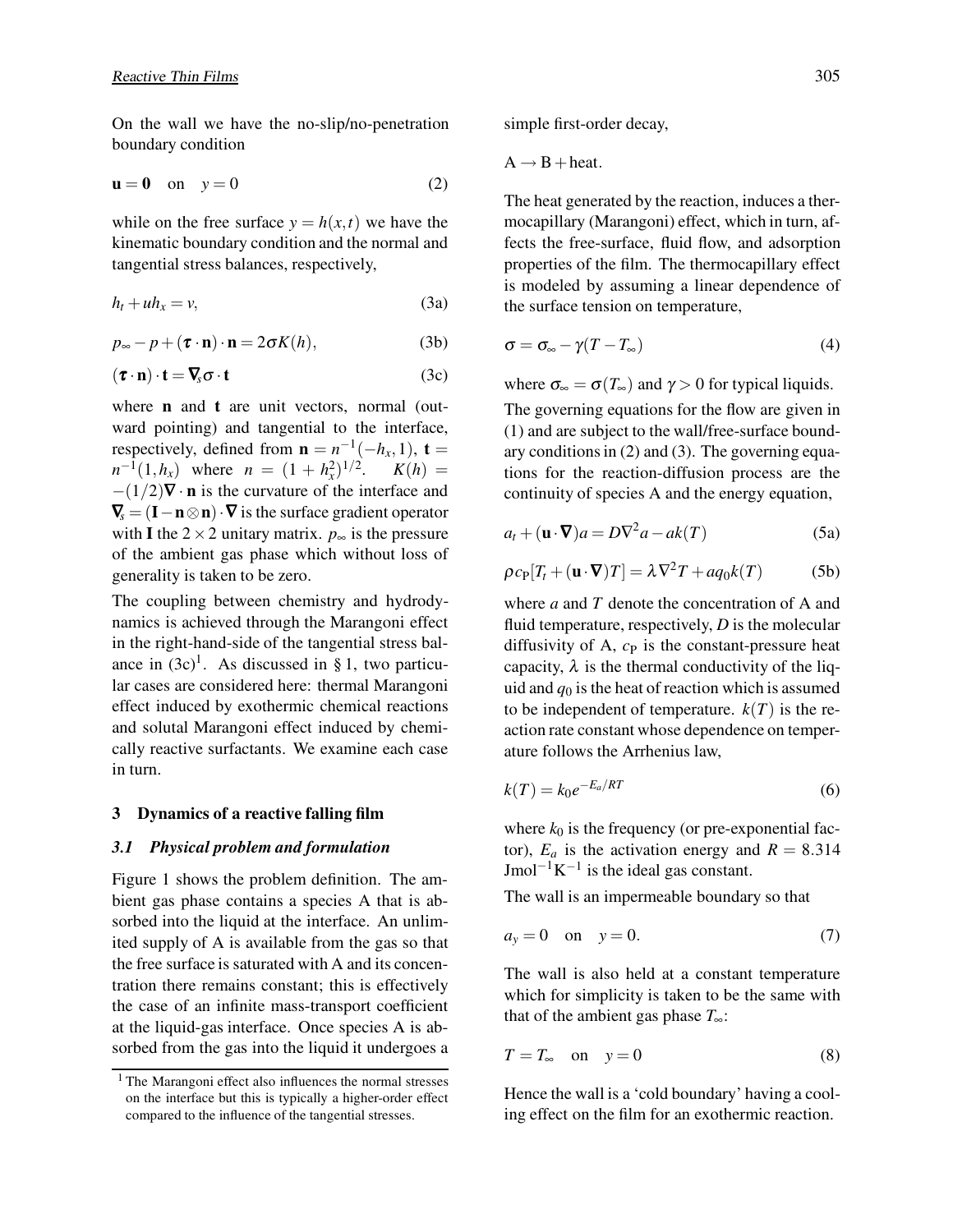On the wall we have the no-slip/no-penetration boundary condition

$$
\mathbf{u} = \mathbf{0} \quad \text{on} \quad y = 0 \tag{2}
$$

while on the free surface  $y = h(x, t)$  we have the kinematic boundary condition and the normal and tangential stress balances, respectively,

$$
h_t + uh_x = v,\t\t(3a)
$$

$$
p_{\infty} - p + (\boldsymbol{\tau} \cdot \mathbf{n}) \cdot \mathbf{n} = 2\sigma K(h), \tag{3b}
$$

$$
(\boldsymbol{\tau} \cdot \mathbf{n}) \cdot \mathbf{t} = \nabla_{\!s} \boldsymbol{\sigma} \cdot \mathbf{t}
$$
 (3c)

where **n** and **t** are unit vectors, normal (outward pointing) and tangential to the interface, respectively, defined from  $\mathbf{n} = n^{-1}(-h_x, 1)$ ,  $\mathbf{t} =$  $n^{-1}(1, h_x)$  where  $n = (1 + h_x^2)^{1/2}$ .  $K(h) =$ −(1/2)∇ · **n** is the curvature of the interface and  $\nabla_{\mathbf{s}}$  = (**I** − **n**  $\otimes$  **n**)  $\cdot$  **V** is the surface gradient operator with **I** the  $2 \times 2$  unitary matrix.  $p_{\infty}$  is the pressure of the ambient gas phase which without loss of generality is taken to be zero.

The coupling between chemistry and hydrodynamics is achieved through the Marangoni effect in the right-hand-side of the tangential stress balance in  $(3c)^1$ . As discussed in § 1, two particular cases are considered here: thermal Marangoni effect induced by exothermic chemical reactions and solutal Marangoni effect induced by chemically reactive surfactants. We examine each case in turn.

### **3 Dynamics of a reactive falling film**

### *3.1 Physical problem and formulation*

Figure 1 shows the problem definition. The ambient gas phase contains a species A that is absorbed into the liquid at the interface. An unlimited supply of A is available from the gas so that the free surface is saturated with A and its concentration there remains constant; this is effectively the case of an infinite mass-transport coefficient at the liquid-gas interface. Once species A is absorbed from the gas into the liquid it undergoes a simple first-order decay,

 $A \rightarrow B + heat$ .

The heat generated by the reaction, induces a thermocapillary (Marangoni) effect, which in turn, affects the free-surface, fluid flow, and adsorption properties of the film. The thermocapillary effect is modeled by assuming a linear dependence of the surface tension on temperature,

$$
\sigma = \sigma_{\infty} - \gamma (T - T_{\infty}) \tag{4}
$$

where  $\sigma_{\infty} = \sigma(T_{\infty})$  and  $\gamma > 0$  for typical liquids.

The governing equations for the flow are given in (1) and are subject to the wall/free-surface boundary conditions in (2) and (3). The governing equations for the reaction-diffusion process are the continuity of species A and the energy equation,

$$
a_t + (\mathbf{u} \cdot \nabla)a = D\nabla^2 a - ak(T)
$$
 (5a)

$$
\rho c_{\rm P} [T_t + (\mathbf{u} \cdot \nabla) T] = \lambda \nabla^2 T + a q_0 k(T) \tag{5b}
$$

where *a* and *T* denote the concentration of A and fluid temperature, respectively, *D* is the molecular diffusivity of A,  $c<sub>P</sub>$  is the constant-pressure heat capacity,  $\lambda$  is the thermal conductivity of the liquid and  $q_0$  is the heat of reaction which is assumed to be independent of temperature.  $k(T)$  is the reaction rate constant whose dependence on temperature follows the Arrhenius law,

$$
k(T) = k_0 e^{-E_a/RT}
$$
\n<sup>(6)</sup>

where  $k_0$  is the frequency (or pre-exponential factor),  $E_a$  is the activation energy and  $R = 8.314$ Jmol<sup>-1</sup>K<sup>-1</sup> is the ideal gas constant.

The wall is an impermeable boundary so that

$$
a_y = 0 \quad \text{on} \quad y = 0. \tag{7}
$$

The wall is also held at a constant temperature which for simplicity is taken to be the same with that of the ambient gas phase  $T_{\infty}$ :

$$
T = T_{\infty} \quad \text{on} \quad y = 0 \tag{8}
$$

Hence the wall is a 'cold boundary' having a cooling effect on the film for an exothermic reaction.

<sup>&</sup>lt;sup>1</sup> The Marangoni effect also influences the normal stresses on the interface but this is typically a higher-order effect compared to the influence of the tangential stresses.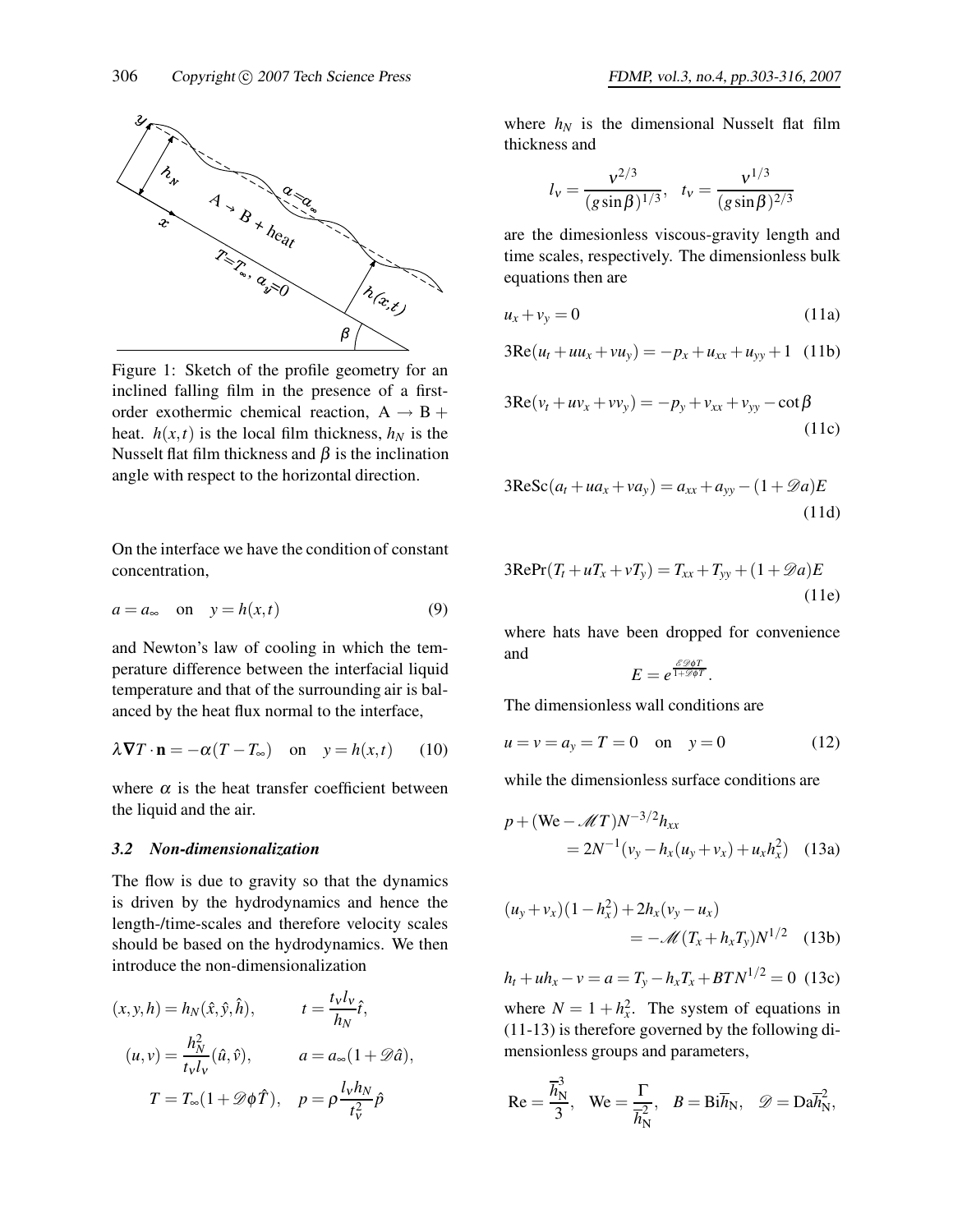

Figure 1: Sketch of the profile geometry for an inclined falling film in the presence of a firstorder exothermic chemical reaction,  $A \rightarrow B +$ heat.  $h(x,t)$  is the local film thickness,  $h_N$  is the Nusselt flat film thickness and  $\beta$  is the inclination angle with respect to the horizontal direction.

On the interface we have the condition of constant concentration,

$$
a = a_{\infty} \quad \text{on} \quad y = h(x, t) \tag{9}
$$

and Newton's law of cooling in which the temperature difference between the interfacial liquid temperature and that of the surrounding air is balanced by the heat flux normal to the interface,

$$
\lambda \nabla T \cdot \mathbf{n} = -\alpha (T - T_{\infty}) \quad \text{on} \quad y = h(x, t) \tag{10}
$$

where  $\alpha$  is the heat transfer coefficient between the liquid and the air.

#### *3.2 Non-dimensionalization*

The flow is due to gravity so that the dynamics is driven by the hydrodynamics and hence the length-/time-scales and therefore velocity scales should be based on the hydrodynamics. We then introduce the non-dimensionalization

$$
(x, y, h) = h_N(\hat{x}, \hat{y}, \hat{h}), \qquad t = \frac{t_V l_V}{h_N} \hat{t},
$$
  

$$
(u, v) = \frac{h_N^2}{t_V l_V} (\hat{u}, \hat{v}), \qquad a = a_\infty (1 + \mathscr{D}\hat{a}),
$$
  

$$
T = T_\infty (1 + \mathscr{D}\phi \hat{T}), \quad p = \rho \frac{l_V h_N}{t_V^2} \hat{p}
$$

where  $h_N$  is the dimensional Nusselt flat film thickness and

$$
l_{\rm v} = \frac{v^{2/3}}{(g\sin\beta)^{1/3}}, \quad t_{\rm v} = \frac{v^{1/3}}{(g\sin\beta)^{2/3}}
$$

are the dimesionless viscous-gravity length and time scales, respectively. The dimensionless bulk equations then are

$$
u_x + v_y = 0 \tag{11a}
$$

$$
3\text{Re}(u_t + uu_x + vu_y) = -p_x + u_{xx} + u_{yy} + 1
$$
 (11b)

$$
3\text{Re}(v_t + uv_x + vv_y) = -p_y + v_{xx} + v_{yy} - \cot\beta
$$
\n(11c)

$$
3\text{ReSc}(a_t + ua_x + va_y) = a_{xx} + a_{yy} - (1 + \mathcal{D}a)E
$$
\n(11d)

$$
3\text{RePr}(T_t + uT_x + vT_y) = T_{xx} + T_{yy} + (1 + \mathcal{D}a)E
$$
\n(11e)

where hats have been dropped for convenience and *E D*φ*T*

$$
E=e^{\frac{\delta \mathscr{D} \phi I}{1+\mathscr{D} \phi T}}.
$$

The dimensionless wall conditions are

$$
u = v = a_y = T = 0
$$
 on  $y = 0$  (12)

while the dimensionless surface conditions are

$$
p + (\text{We} - \mathcal{M}T)N^{-3/2}h_{xx}
$$
  
=  $2N^{-1}(v_y - h_x(u_y + v_x) + u_x h_x^2)$  (13a)

$$
(u_y + v_x)(1 - h_x^2) + 2h_x(v_y - u_x)
$$
  
=  $-\mathscr{M}(T_x + h_x T_y)N^{1/2}$  (13b)

$$
h_t + uh_x - v = a = T_y - h_x T_x + B T N^{1/2} = 0
$$
 (13c)

where  $N = 1 + h_x^2$ . The system of equations in (11-13) is therefore governed by the following dimensionless groups and parameters,

$$
\text{Re} = \frac{\overline{h}_{\text{N}}^3}{3}, \quad \text{We} = \frac{\Gamma}{\overline{h}_{\text{N}}^2}, \quad B = \text{Bi}\overline{h}_{\text{N}}, \quad \mathscr{D} = \text{Da}\overline{h}_{\text{N}}^2,
$$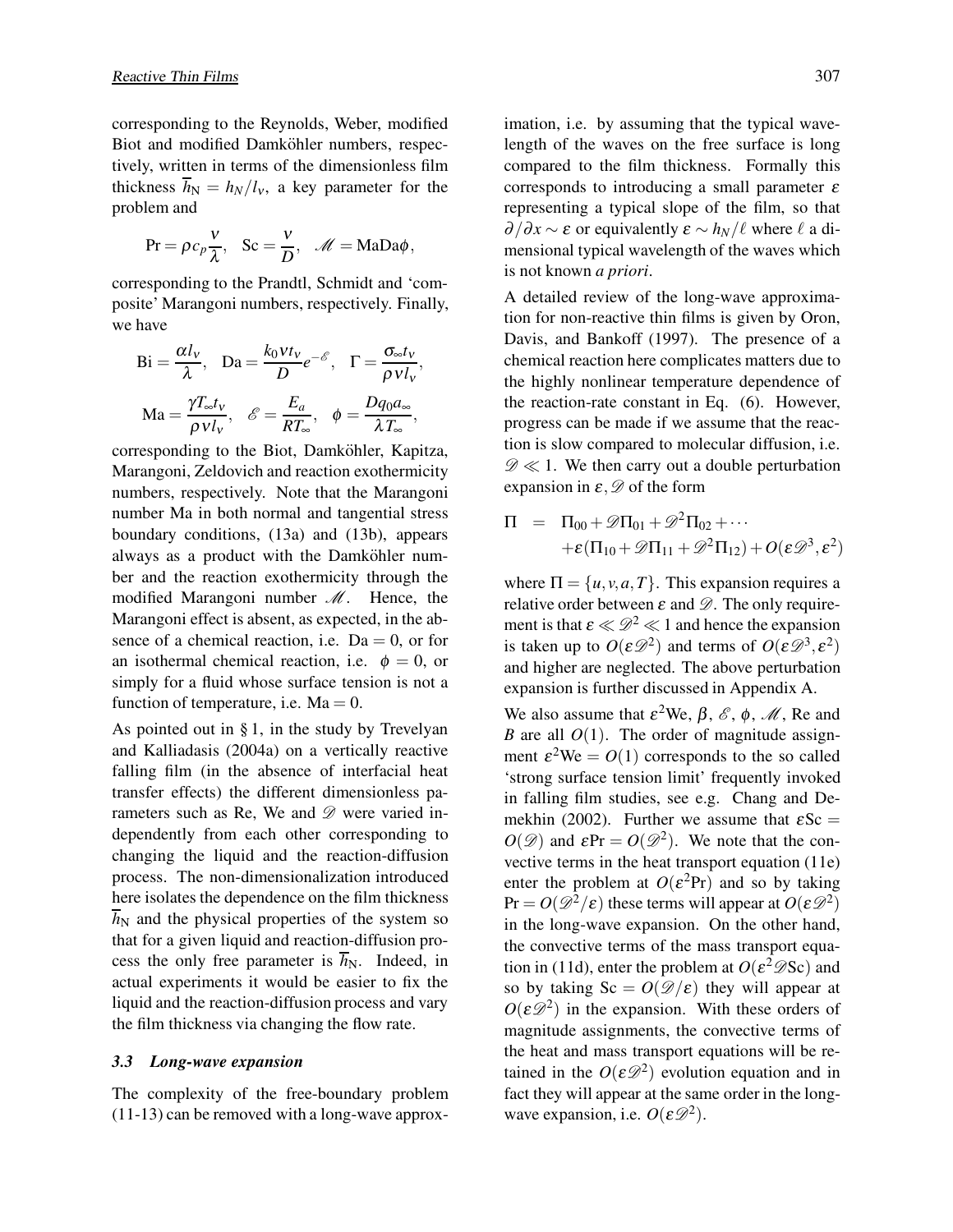corresponding to the Reynolds, Weber, modified Biot and modified Damköhler numbers, respectively, written in terms of the dimensionless film thickness  $\overline{h}_N = h_N/l_v$ , a key parameter for the problem and

$$
\Pr = \rho c_p \frac{v}{\lambda}, \quad \text{Sc} = \frac{v}{D}, \quad \mathscr{M} = \text{MaDa}\phi,
$$

corresponding to the Prandtl, Schmidt and 'composite' Marangoni numbers, respectively. Finally, we have

$$
Bi = \frac{\alpha l_v}{\lambda}, \quad Da = \frac{k_0 V t_v}{D} e^{-\mathcal{E}}, \quad \Gamma = \frac{\sigma_{\infty} t_v}{\rho V l_v},
$$

$$
Ma = \frac{\gamma T_{\infty} t_v}{\rho V l_v}, \quad \mathcal{E} = \frac{E_a}{RT_{\infty}}, \quad \phi = \frac{Dq_0 a_{\infty}}{\lambda T_{\infty}},
$$

corresponding to the Biot, Damköhler, Kapitza, Marangoni, Zeldovich and reaction exothermicity numbers, respectively. Note that the Marangoni number Ma in both normal and tangential stress boundary conditions, (13a) and (13b), appears always as a product with the Damköhler number and the reaction exothermicity through the modified Marangoni number *M*. Hence, the Marangoni effect is absent, as expected, in the absence of a chemical reaction, i.e.  $Da = 0$ , or for an isothermal chemical reaction, i.e.  $\phi = 0$ , or simply for a fluid whose surface tension is not a function of temperature, i.e.  $Ma = 0$ .

As pointed out in § 1, in the study by Trevelyan and Kalliadasis (2004a) on a vertically reactive falling film (in the absence of interfacial heat transfer effects) the different dimensionless parameters such as Re, We and *D* were varied independently from each other corresponding to changing the liquid and the reaction-diffusion process. The non-dimensionalization introduced here isolates the dependence on the film thickness  $\overline{h}_{N}$  and the physical properties of the system so that for a given liquid and reaction-diffusion process the only free parameter is  $\overline{h}_{N}$ . Indeed, in actual experiments it would be easier to fix the liquid and the reaction-diffusion process and vary the film thickness via changing the flow rate.

#### *3.3 Long-wave expansion*

The complexity of the free-boundary problem (11-13) can be removed with a long-wave approximation, i.e. by assuming that the typical wavelength of the waves on the free surface is long compared to the film thickness. Formally this corresponds to introducing a small parameter  $\varepsilon$ representing a typical slope of the film, so that  $\partial/\partial x \sim \varepsilon$  or equivalently  $\varepsilon \sim h_N/\ell$  where  $\ell$  a dimensional typical wavelength of the waves which is not known *a priori*.

A detailed review of the long-wave approximation for non-reactive thin films is given by Oron, Davis, and Bankoff (1997). The presence of a chemical reaction here complicates matters due to the highly nonlinear temperature dependence of the reaction-rate constant in Eq. (6). However, progress can be made if we assume that the reaction is slow compared to molecular diffusion, i.e.  $\mathscr{D} \ll 1$ . We then carry out a double perturbation expansion in  $\varepsilon$ ,  $\mathscr{D}$  of the form

$$
\Pi = \Pi_{00} + \mathscr{D}\Pi_{01} + \mathscr{D}^2\Pi_{02} + \cdots
$$
  
 
$$
+ \varepsilon(\Pi_{10} + \mathscr{D}\Pi_{11} + \mathscr{D}^2\Pi_{12}) + O(\varepsilon\mathscr{D}^3, \varepsilon^2)
$$

where  $\Pi = \{u, v, a, T\}$ . This expansion requires a relative order between  $\varepsilon$  and  $\mathscr{D}$ . The only requirement is that  $\varepsilon \ll \mathcal{D}^2 \ll 1$  and hence the expansion is taken up to  $O(\varepsilon \mathscr{D}^2)$  and terms of  $O(\varepsilon \mathscr{D}^3, \varepsilon^2)$ and higher are neglected. The above perturbation expansion is further discussed in Appendix A.

We also assume that  $\varepsilon^2$ We,  $\beta$ ,  $\varepsilon$ ,  $\phi$ ,  $\mathcal{M}$ , Re and *B* are all  $O(1)$ . The order of magnitude assignment  $\varepsilon^2$ We =  $O(1)$  corresponds to the so called 'strong surface tension limit' frequently invoked in falling film studies, see e.g. Chang and Demekhin (2002). Further we assume that  $\epsilon$ Sc =  $O(\mathscr{D})$  and  $\epsilon Pr = O(\mathscr{D}^2)$ . We note that the convective terms in the heat transport equation (11e) enter the problem at  $O(\varepsilon^2 Pr)$  and so by taking  $Pr = O(\mathcal{D}^2/\varepsilon)$  these terms will appear at  $O(\varepsilon \mathcal{D}^2)$ in the long-wave expansion. On the other hand, the convective terms of the mass transport equation in (11d), enter the problem at  $O(\varepsilon^2 \mathscr{D}$ Sc) and so by taking  $Sc = O(\mathcal{D}/\varepsilon)$  they will appear at  $O(\varepsilon \mathscr{D}^2)$  in the expansion. With these orders of magnitude assignments, the convective terms of the heat and mass transport equations will be retained in the  $O(\varepsilon \mathscr{D}^2)$  evolution equation and in fact they will appear at the same order in the longwave expansion, i.e.  $O(\varepsilon \mathcal{D}^2)$ .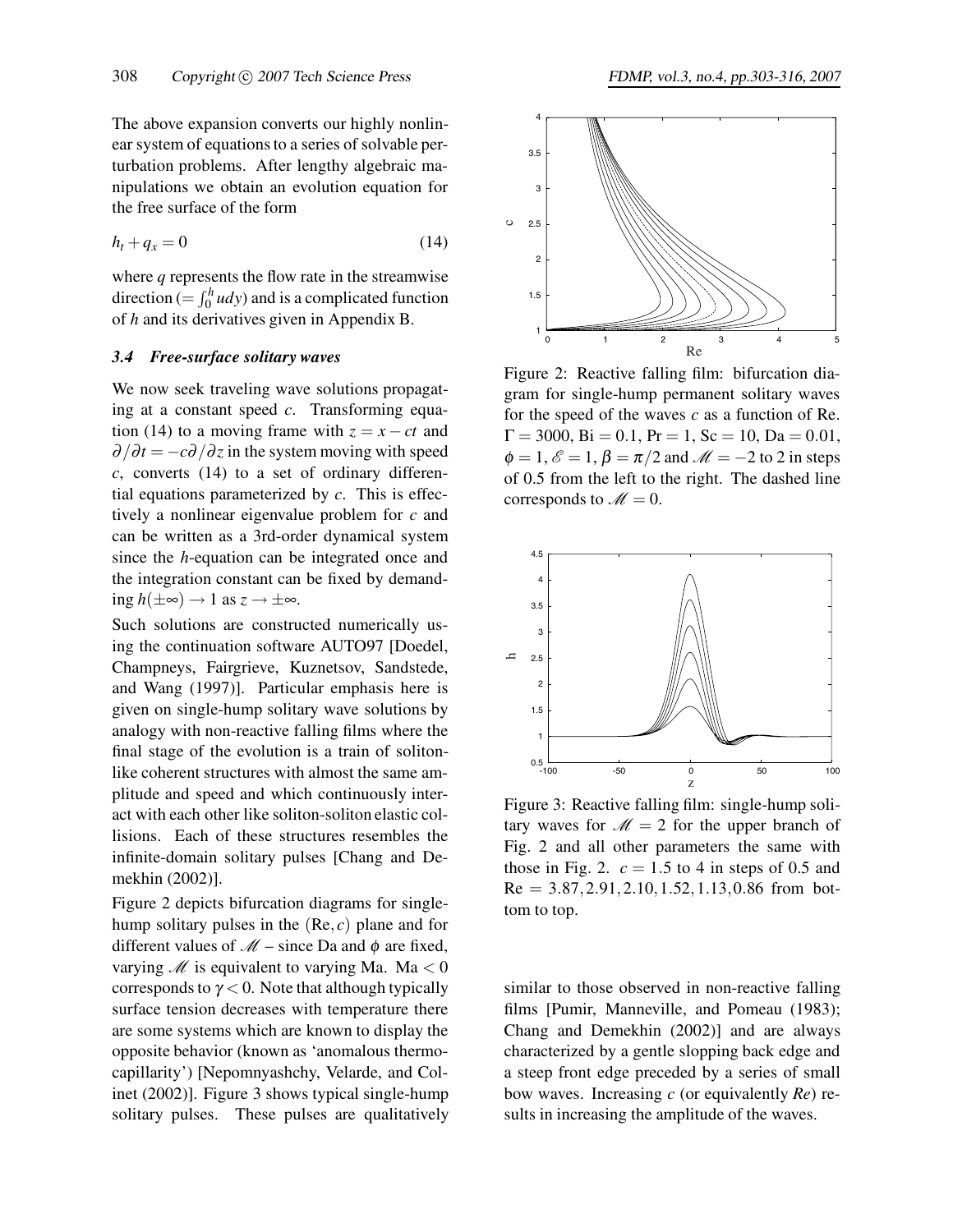The above expansion converts our highly nonlinear system of equations to a series of solvable perturbation problems. After lengthy algebraic manipulations we obtain an evolution equation for the free surface of the form

$$
h_t + q_x = 0 \tag{14}
$$

where *q* represents the flow rate in the streamwise direction (=  $\int_0^h u dy$ ) and is a complicated function of *h* and its derivatives given in Appendix B.

#### *3.4 Free-surface solitary waves*

We now seek traveling wave solutions propagating at a constant speed *c*. Transforming equation (14) to a moving frame with  $z = x - ct$  and  $\partial/\partial t = -c\partial/\partial z$  in the system moving with speed *c*, converts (14) to a set of ordinary differential equations parameterized by *c*. This is effectively a nonlinear eigenvalue problem for *c* and can be written as a 3rd-order dynamical system since the *h*-equation can be integrated once and the integration constant can be fixed by demanding  $h(\pm\infty)$  → 1 as  $z \to \pm\infty$ .

Such solutions are constructed numerically using the continuation software AUTO97 [Doedel, Champneys, Fairgrieve, Kuznetsov, Sandstede, and Wang (1997)]. Particular emphasis here is given on single-hump solitary wave solutions by analogy with non-reactive falling films where the final stage of the evolution is a train of solitonlike coherent structures with almost the same amplitude and speed and which continuously interact with each other like soliton-soliton elastic collisions. Each of these structures resembles the infinite-domain solitary pulses [Chang and Demekhin (2002)].

Figure 2 depicts bifurcation diagrams for singlehump solitary pulses in the  $(Re, c)$  plane and for different values of  $\mathcal{M}$  – since Da and  $\phi$  are fixed, varying  $M$  is equivalent to varying Ma. Ma  $<$  0 corresponds to  $\gamma$  < 0. Note that although typically surface tension decreases with temperature there are some systems which are known to display the opposite behavior (known as 'anomalous thermocapillarity') [Nepomnyashchy, Velarde, and Colinet (2002)]. Figure 3 shows typical single-hump solitary pulses. These pulses are qualitatively



Figure 2: Reactive falling film: bifurcation diagram for single-hump permanent solitary waves for the speed of the waves *c* as a function of Re.  $\Gamma = 3000$ ,  $\text{Bi} = 0.1$ ,  $\text{Pr} = 1$ ,  $\text{Sc} = 10$ ,  $\text{Da} = 0.01$ ,  $\phi = 1$ ,  $\mathcal{E} = 1$ ,  $\beta = \pi/2$  and  $\mathcal{M} = -2$  to 2 in steps of 0.5 from the left to the right. The dashed line corresponds to  $M = 0$ .



Figure 3: Reactive falling film: single-hump solitary waves for  $M = 2$  for the upper branch of Fig. 2 and all other parameters the same with those in Fig. 2.  $c = 1.5$  to 4 in steps of 0.5 and  $Re = 3.87, 2.91, 2.10, 1.52, 1.13, 0.86$  from bottom to top.

similar to those observed in non-reactive falling films [Pumir, Manneville, and Pomeau (1983); Chang and Demekhin (2002)] and are always characterized by a gentle slopping back edge and a steep front edge preceded by a series of small bow waves. Increasing *c* (or equivalently *Re*) results in increasing the amplitude of the waves.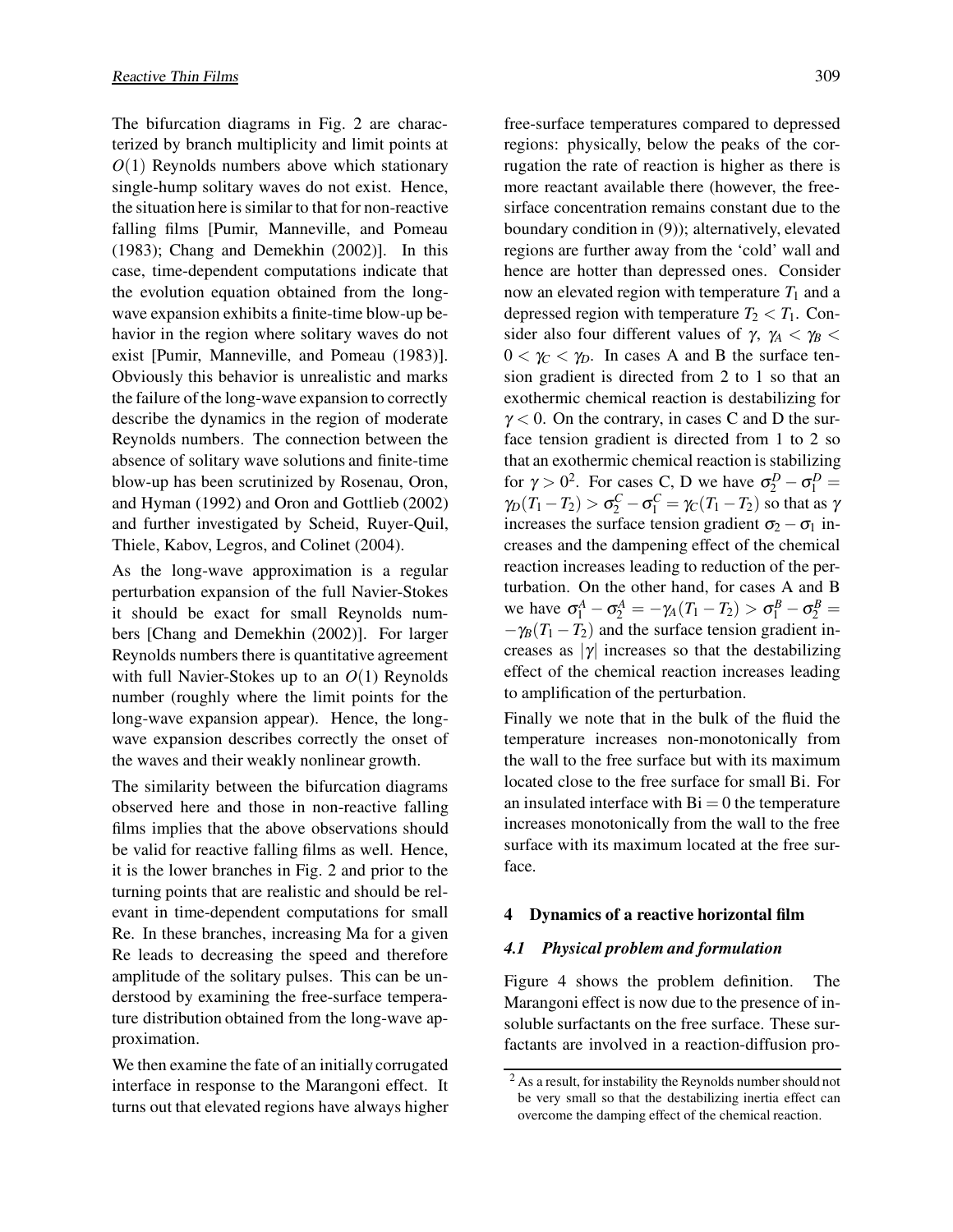The bifurcation diagrams in Fig. 2 are characterized by branch multiplicity and limit points at *O*(1) Reynolds numbers above which stationary single-hump solitary waves do not exist. Hence, the situation here is similar to that for non-reactive falling films [Pumir, Manneville, and Pomeau (1983); Chang and Demekhin (2002)]. In this case, time-dependent computations indicate that the evolution equation obtained from the longwave expansion exhibits a finite-time blow-up behavior in the region where solitary waves do not exist [Pumir, Manneville, and Pomeau (1983)]. Obviously this behavior is unrealistic and marks the failure of the long-wave expansion to correctly describe the dynamics in the region of moderate Reynolds numbers. The connection between the absence of solitary wave solutions and finite-time blow-up has been scrutinized by Rosenau, Oron, and Hyman (1992) and Oron and Gottlieb (2002) and further investigated by Scheid, Ruyer-Quil, Thiele, Kabov, Legros, and Colinet (2004).

As the long-wave approximation is a regular perturbation expansion of the full Navier-Stokes it should be exact for small Reynolds numbers [Chang and Demekhin (2002)]. For larger Reynolds numbers there is quantitative agreement with full Navier-Stokes up to an *O*(1) Reynolds number (roughly where the limit points for the long-wave expansion appear). Hence, the longwave expansion describes correctly the onset of the waves and their weakly nonlinear growth.

The similarity between the bifurcation diagrams observed here and those in non-reactive falling films implies that the above observations should be valid for reactive falling films as well. Hence, it is the lower branches in Fig. 2 and prior to the turning points that are realistic and should be relevant in time-dependent computations for small Re. In these branches, increasing Ma for a given Re leads to decreasing the speed and therefore amplitude of the solitary pulses. This can be understood by examining the free-surface temperature distribution obtained from the long-wave approximation.

We then examine the fate of an initially corrugated interface in response to the Marangoni effect. It turns out that elevated regions have always higher

free-surface temperatures compared to depressed regions: physically, below the peaks of the corrugation the rate of reaction is higher as there is more reactant available there (however, the freesirface concentration remains constant due to the boundary condition in (9)); alternatively, elevated regions are further away from the 'cold' wall and hence are hotter than depressed ones. Consider now an elevated region with temperature  $T_1$  and a depressed region with temperature  $T_2 < T_1$ . Consider also four different values of  $\gamma$ ,  $\gamma$ <sup>*A*</sup> <  $\gamma$ <sup>*B*</sup> <  $0 < \gamma_C < \gamma_D$ . In cases A and B the surface tension gradient is directed from 2 to 1 so that an exothermic chemical reaction is destabilizing for  $\gamma$  < 0. On the contrary, in cases C and D the surface tension gradient is directed from 1 to 2 so that an exothermic chemical reaction is stabilizing for  $\gamma > 0^2$ . For cases C, D we have  $\sigma_2^D - \sigma_1^D =$ *γ*<sub>D</sub>(*T*<sub>1</sub> − *T*<sub>2</sub>) >  $\sigma_2^C - \sigma_1^C = \gamma_C(T_1 - T_2)$  so that as  $\gamma$ increases the surface tension gradient  $\sigma_2 - \sigma_1$  increases and the dampening effect of the chemical reaction increases leading to reduction of the perturbation. On the other hand, for cases A and B we have  $\sigma_1^A - \sigma_2^A = -\gamma_A (T_1 - T_2) > \sigma_1^B - \sigma_2^B =$  $-\gamma_B(T_1 - T_2)$  and the surface tension gradient increases as  $|\gamma|$  increases so that the destabilizing effect of the chemical reaction increases leading to amplification of the perturbation.

Finally we note that in the bulk of the fluid the temperature increases non-monotonically from the wall to the free surface but with its maximum located close to the free surface for small Bi. For an insulated interface with  $Bi = 0$  the temperature increases monotonically from the wall to the free surface with its maximum located at the free surface.

### **4 Dynamics of a reactive horizontal film**

### *4.1 Physical problem and formulation*

Figure 4 shows the problem definition. The Marangoni effect is now due to the presence of insoluble surfactants on the free surface. These surfactants are involved in a reaction-diffusion pro-

<sup>&</sup>lt;sup>2</sup> As a result, for instability the Reynolds number should not be very small so that the destabilizing inertia effect can overcome the damping effect of the chemical reaction.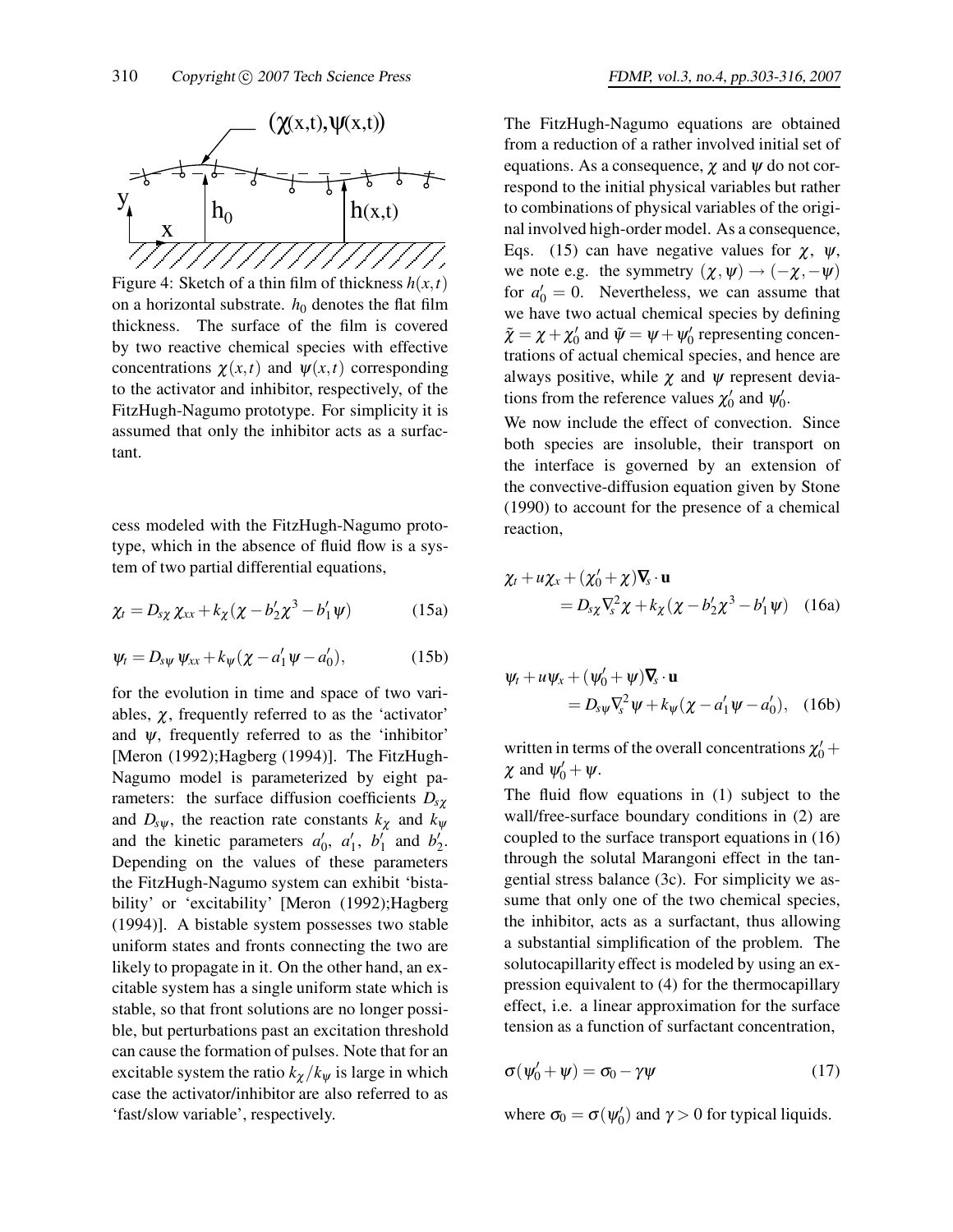

Figure 4: Sketch of a thin film of thickness  $h(x,t)$ on a horizontal substrate.  $h_0$  denotes the flat film thickness. The surface of the film is covered by two reactive chemical species with effective concentrations  $\chi(x,t)$  and  $\psi(x,t)$  corresponding to the activator and inhibitor, respectively, of the FitzHugh-Nagumo prototype. For simplicity it is assumed that only the inhibitor acts as a surfactant.

cess modeled with the FitzHugh-Nagumo prototype, which in the absence of fluid flow is a system of two partial differential equations,

$$
\chi_t = D_{s\chi} \chi_{xx} + k_{\chi} (\chi - b'_2 \chi^3 - b'_1 \psi) \tag{15a}
$$

$$
\psi_t = D_{s\psi} \, \psi_{xx} + k_{\psi} (\chi - a'_1 \psi - a'_0), \tag{15b}
$$

for the evolution in time and space of two variables,  $\chi$ , frequently referred to as the 'activator' and  $\psi$ , frequently referred to as the 'inhibitor' [Meron (1992);Hagberg (1994)]. The FitzHugh-Nagumo model is parameterized by eight parameters: the surface diffusion coefficients  $D_{s\gamma}$ and  $D_{s\psi}$ , the reaction rate constants  $k_{\chi}$  and  $k_{\psi}$ and the kinetic parameters  $a'_0$ ,  $a'_1$ ,  $b'_1$  and  $b'_2$ . Depending on the values of these parameters the FitzHugh-Nagumo system can exhibit 'bistability' or 'excitability' [Meron (1992);Hagberg (1994)]. A bistable system possesses two stable uniform states and fronts connecting the two are likely to propagate in it. On the other hand, an excitable system has a single uniform state which is stable, so that front solutions are no longer possible, but perturbations past an excitation threshold can cause the formation of pulses. Note that for an excitable system the ratio  $k_{\chi}/k_{\psi}$  is large in which case the activator/inhibitor are also referred to as 'fast/slow variable', respectively.

The FitzHugh-Nagumo equations are obtained from a reduction of a rather involved initial set of equations. As a consequence,  $\chi$  and  $\psi$  do not correspond to the initial physical variables but rather to combinations of physical variables of the original involved high-order model. As a consequence, Eqs. (15) can have negative values for  $\chi$ ,  $\psi$ , we note e.g. the symmetry  $(\chi, \psi) \rightarrow (-\chi, -\psi)$ for  $a'_0 = 0$ . Nevertheless, we can assume that we have two actual chemical species by defining  $\tilde{\chi} = \chi + \chi'_0$  and  $\tilde{\psi} = \psi + \psi'_0$  representing concentrations of actual chemical species, and hence are always positive, while  $\chi$  and  $\psi$  represent deviations from the reference values  $\chi'_0$  and  $\psi'_0$ .

We now include the effect of convection. Since both species are insoluble, their transport on the interface is governed by an extension of the convective-diffusion equation given by Stone (1990) to account for the presence of a chemical reaction,

$$
\chi_t + u\chi_x + (\chi'_0 + \chi)\nabla_s \cdot \mathbf{u}
$$
  
=  $D_{s\chi} \nabla_s^2 \chi + k_{\chi} (\chi - b'_2 \chi^3 - b'_1 \psi)$  (16a)

$$
\psi_t + u \psi_x + (\psi'_0 + \psi) \nabla_s \cdot \mathbf{u}
$$
  
=  $D_{s\psi} \nabla_s^2 \psi + k_{\psi} (\chi - a'_1 \psi - a'_0),$  (16b)

written in terms of the overall concentrations  $\chi_0'$  +  $\chi$  and  $\psi'_0 + \psi$ .

The fluid flow equations in (1) subject to the wall/free-surface boundary conditions in (2) are coupled to the surface transport equations in (16) through the solutal Marangoni effect in the tangential stress balance (3c). For simplicity we assume that only one of the two chemical species, the inhibitor, acts as a surfactant, thus allowing a substantial simplification of the problem. The solutocapillarity effect is modeled by using an expression equivalent to (4) for the thermocapillary effect, i.e. a linear approximation for the surface tension as a function of surfactant concentration,

$$
\sigma(\psi'_0 + \psi) = \sigma_0 - \gamma \psi \tag{17}
$$

where  $\sigma_0 = \sigma(\psi_0')$  and  $\gamma > 0$  for typical liquids.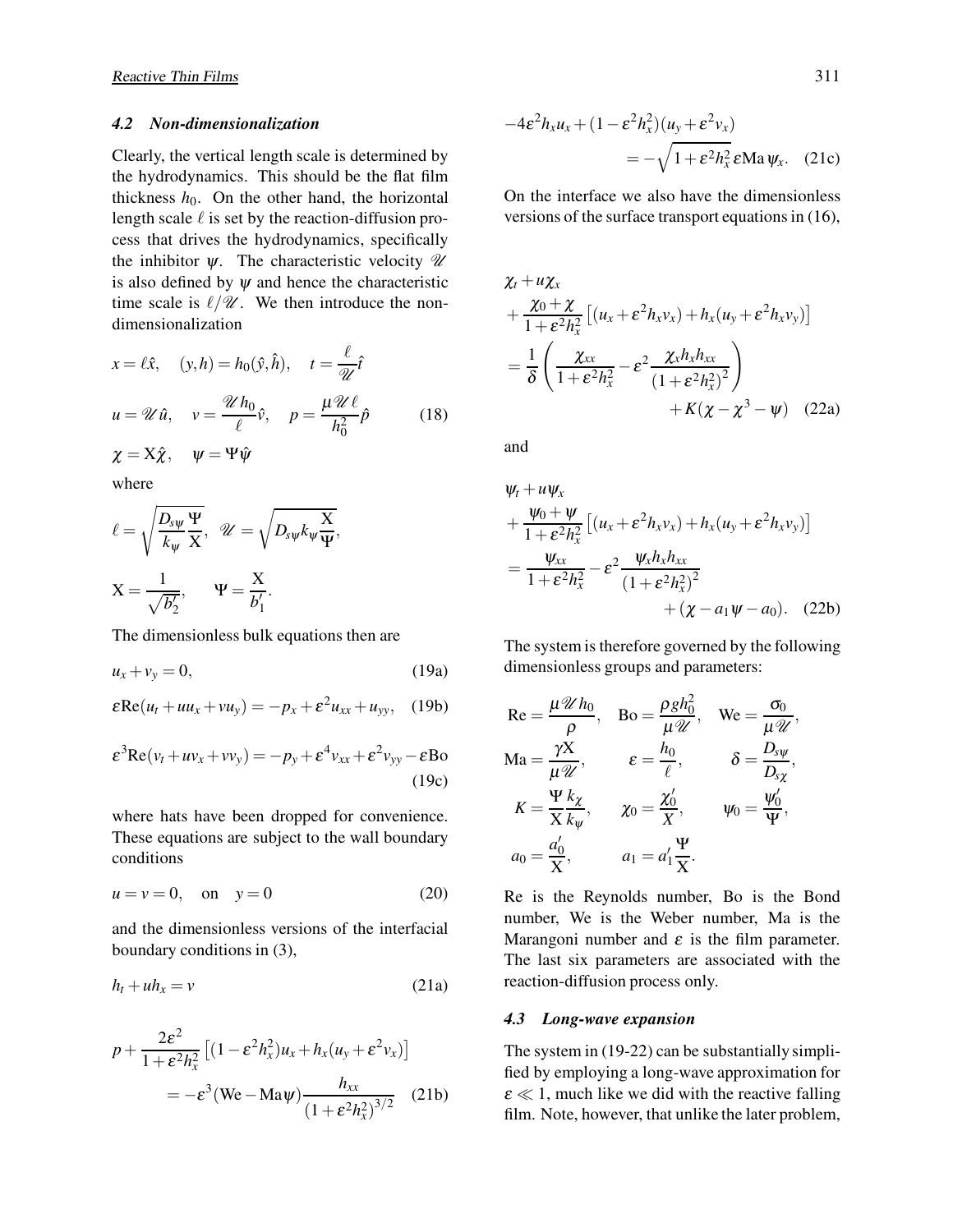## *4.2 Non-dimensionalization*

Clearly, the vertical length scale is determined by the hydrodynamics. This should be the flat film thickness  $h_0$ . On the other hand, the horizontal length scale  $\ell$  is set by the reaction-diffusion process that drives the hydrodynamics, specifically the inhibitor  $\psi$ . The characteristic velocity  $\mathscr U$ is also defined by  $\psi$  and hence the characteristic time scale is  $\ell/\mathscr{U}$ . We then introduce the nondimensionalization

$$
x = \ell \hat{x}, \quad (y, h) = h_0(\hat{y}, \hat{h}), \quad t = \frac{\ell}{\mathcal{U}} \hat{t}
$$
  

$$
u = \mathcal{U} \hat{u}, \quad v = \frac{\mathcal{U} h_0}{\ell} \hat{v}, \quad p = \frac{\mu \mathcal{U} \ell}{h_0^2} \hat{p}
$$
  

$$
\chi = X \hat{\chi}, \quad \psi = \Psi \hat{\psi}
$$
  
where  

$$
\rho = \sqrt{D_s \psi \Psi}
$$

$$
\ell = \sqrt{\frac{E_{s\psi}}{k_{\psi}}} \frac{1}{X}, \quad \mathscr{U} = \sqrt{D_{s\psi}k_{\psi}} \frac{X}{\Psi},
$$

$$
X = \frac{1}{\sqrt{b_2'}}, \qquad \Psi = \frac{X}{b_1'}.
$$

The dimensionless bulk equations then are

$$
u_x + v_y = 0,\t(19a)
$$

$$
\varepsilon \text{Re}(u_t + uu_x + vu_y) = -p_x + \varepsilon^2 u_{xx} + u_{yy}, \quad (19b)
$$

$$
\varepsilon^3 \text{Re}(v_t + uv_x + vv_y) = -py + \varepsilon^4 v_{xx} + \varepsilon^2 v_{yy} - \varepsilon \text{Bo}
$$
\n(19c)

where hats have been dropped for convenience. These equations are subject to the wall boundary conditions

$$
u = v = 0, \quad \text{on} \quad y = 0 \tag{20}
$$

and the dimensionless versions of the interfacial boundary conditions in (3),

$$
h_t + uh_x = v \tag{21a}
$$

$$
p + \frac{2\varepsilon^2}{1 + \varepsilon^2 h_x^2} \left[ (1 - \varepsilon^2 h_x^2) u_x + h_x (u_y + \varepsilon^2 v_x) \right]
$$
  
=  $-\varepsilon^3 (\text{We} - \text{Ma}\psi) \frac{h_{xx}}{(1 + \varepsilon^2 h_x^2)^{3/2}}$  (21b)

$$
-4\varepsilon^2 h_x u_x + (1 - \varepsilon^2 h_x^2)(u_y + \varepsilon^2 v_x)
$$
  
=  $-\sqrt{1 + \varepsilon^2 h_x^2} \varepsilon \text{Ma } \psi_x.$  (21c)

On the interface we also have the dimensionless versions of the surface transport equations in (16),

$$
\chi_t + u\chi_x
$$
  
+ 
$$
\frac{\chi_0 + \chi}{1 + \varepsilon^2 h_x^2} \left[ (u_x + \varepsilon^2 h_x v_x) + h_x (u_y + \varepsilon^2 h_x v_y) \right]
$$
  
= 
$$
\frac{1}{\delta} \left( \frac{\chi_{xx}}{1 + \varepsilon^2 h_x^2} - \varepsilon^2 \frac{\chi_x h_x h_{xx}}{(1 + \varepsilon^2 h_x^2)^2} \right)
$$
  
+ 
$$
K(\chi - \chi^3 - \psi) \quad (22a)
$$

and

$$
\psi_t + u\psi_x
$$
  
+ 
$$
\frac{\psi_0 + \psi}{1 + \varepsilon^2 h_x^2} \left[ (u_x + \varepsilon^2 h_x v_x) + h_x (u_y + \varepsilon^2 h_x v_y) \right]
$$
  
= 
$$
\frac{\psi_{xx}}{1 + \varepsilon^2 h_x^2} - \varepsilon^2 \frac{\psi_x h_x h_{xx}}{(1 + \varepsilon^2 h_x^2)^2}
$$
  
+ 
$$
(\chi - a_1 \psi - a_0).
$$
 (22b)

The system is therefore governed by the following dimensionless groups and parameters:

$$
\text{Re} = \frac{\mu \mathcal{U} h_0}{\rho}, \quad \text{Bo} = \frac{\rho g h_0^2}{\mu \mathcal{U}}, \quad \text{We} = \frac{\sigma_0}{\mu \mathcal{U}},
$$
\n
$$
\text{Ma} = \frac{\gamma \mathbf{X}}{\mu \mathcal{U}}, \qquad \varepsilon = \frac{h_0}{\ell}, \qquad \delta = \frac{D_{s\psi}}{D_{s\chi}},
$$
\n
$$
K = \frac{\Psi k_{\chi}}{\mathbf{X}_{\psi}}, \qquad \chi_0 = \frac{\chi_0'}{\mathbf{X}}, \qquad \psi_0 = \frac{\psi_0'}{\Psi},
$$
\n
$$
a_0 = \frac{a_0'}{\mathbf{X}}, \qquad a_1 = a_1' \frac{\Psi}{\mathbf{X}}.
$$

Re is the Reynolds number, Bo is the Bond number, We is the Weber number, Ma is the Marangoni number and  $\varepsilon$  is the film parameter. The last six parameters are associated with the reaction-diffusion process only.

### *4.3 Long-wave expansion*

The system in (19-22) can be substantially simplified by employing a long-wave approximation for  $\epsilon \ll 1$ , much like we did with the reactive falling film. Note, however, that unlike the later problem,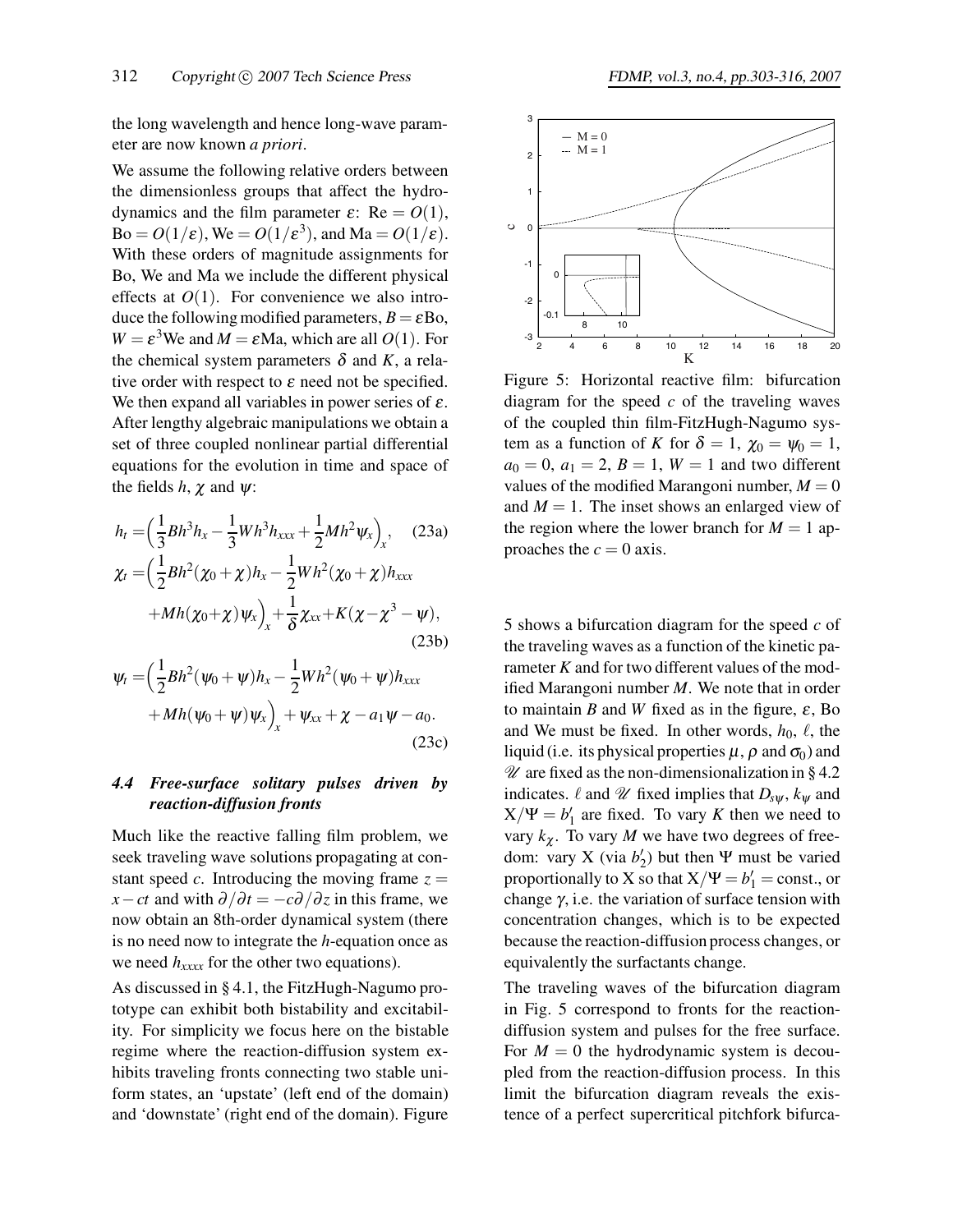the long wavelength and hence long-wave parameter are now known *a priori*.

We assume the following relative orders between the dimensionless groups that affect the hydrodynamics and the film parameter  $\varepsilon$ : Re =  $O(1)$ ,  $Bo = O(1/\varepsilon)$ , We =  $O(1/\varepsilon^3)$ , and Ma =  $O(1/\varepsilon)$ . With these orders of magnitude assignments for Bo, We and Ma we include the different physical effects at  $O(1)$ . For convenience we also introduce the following modified parameters,  $B = \varepsilon$ Bo,  $W = \varepsilon^3$ We and  $M = \varepsilon$ Ma, which are all  $O(1)$ . For the chemical system parameters  $\delta$  and *K*, a relative order with respect to  $\varepsilon$  need not be specified. We then expand all variables in power series of  $\varepsilon$ . After lengthy algebraic manipulations we obtain a set of three coupled nonlinear partial differential equations for the evolution in time and space of the fields  $h$ ,  $\chi$  and  $\psi$ :

$$
h_{t} = \left(\frac{1}{3}Bh^{3}h_{x} - \frac{1}{3}Wh^{3}h_{xxx} + \frac{1}{2}Mh^{2}\psi_{x}\right)_{x}, \quad (23a)
$$
  

$$
\chi_{t} = \left(\frac{1}{2}Bh^{2}(\chi_{0} + \chi)h_{x} - \frac{1}{2}Wh^{2}(\chi_{0} + \chi)h_{xxx}\right)
$$

$$
+Mh(\chi_{0} + \chi)\psi_{x}\right)_{x} + \frac{1}{\delta}\chi_{xx} + K(\chi - \chi^{3} - \psi), \quad (23b)
$$

$$
\psi_t = \left(\frac{1}{2}Bh^2(\psi_0 + \psi)h_x - \frac{1}{2}Wh^2(\psi_0 + \psi)h_{xxx} + Mh(\psi_0 + \psi)\psi_x\right)_x + \psi_{xx} + \chi - a_1\psi - a_0.
$$
\n(23c)

## *4.4 Free-surface solitary pulses driven by reaction-diffusion fronts*

Much like the reactive falling film problem, we seek traveling wave solutions propagating at constant speed *c*. Introducing the moving frame  $z =$ *x*−*ct* and with  $\partial/\partial t = -c\partial/\partial z$  in this frame, we now obtain an 8th-order dynamical system (there is no need now to integrate the *h*-equation once as we need  $h_{xxxx}$  for the other two equations).

As discussed in § 4.1, the FitzHugh-Nagumo prototype can exhibit both bistability and excitability. For simplicity we focus here on the bistable regime where the reaction-diffusion system exhibits traveling fronts connecting two stable uniform states, an 'upstate' (left end of the domain) and 'downstate' (right end of the domain). Figure



Figure 5: Horizontal reactive film: bifurcation diagram for the speed *c* of the traveling waves of the coupled thin film-FitzHugh-Nagumo system as a function of *K* for  $\delta = 1$ ,  $\chi_0 = \psi_0 = 1$ ,  $a_0 = 0, a_1 = 2, B = 1, W = 1$  and two different values of the modified Marangoni number,  $M = 0$ and  $M = 1$ . The inset shows an enlarged view of the region where the lower branch for  $M = 1$  approaches the  $c = 0$  axis.

5 shows a bifurcation diagram for the speed *c* of the traveling waves as a function of the kinetic parameter *K* and for two different values of the modified Marangoni number *M*. We note that in order to maintain *B* and *W* fixed as in the figure,  $\varepsilon$ , Bo and We must be fixed. In other words,  $h_0$ ,  $\ell$ , the liquid (i.e. its physical properties  $\mu$ ,  $\rho$  and  $\sigma_0$ ) and  $\mathscr U$  are fixed as the non-dimensionalization in § 4.2 indicates.  $\ell$  and  $\mathscr U$  fixed implies that  $D_{s\psi}$ ,  $k_{\psi}$  and  $X/\Psi = b'_1$  are fixed. To vary *K* then we need to vary  $k_{\gamma}$ . To vary *M* we have two degrees of freedom: vary X (via  $b'_2$ ) but then Ψ must be varied proportionally to X so that  $X/\Psi = b'_1 = \text{const.}$ , or change  $\gamma$ , i.e. the variation of surface tension with concentration changes, which is to be expected because the reaction-diffusion process changes, or equivalently the surfactants change.

The traveling waves of the bifurcation diagram in Fig. 5 correspond to fronts for the reactiondiffusion system and pulses for the free surface. For  $M = 0$  the hydrodynamic system is decoupled from the reaction-diffusion process. In this limit the bifurcation diagram reveals the existence of a perfect supercritical pitchfork bifurca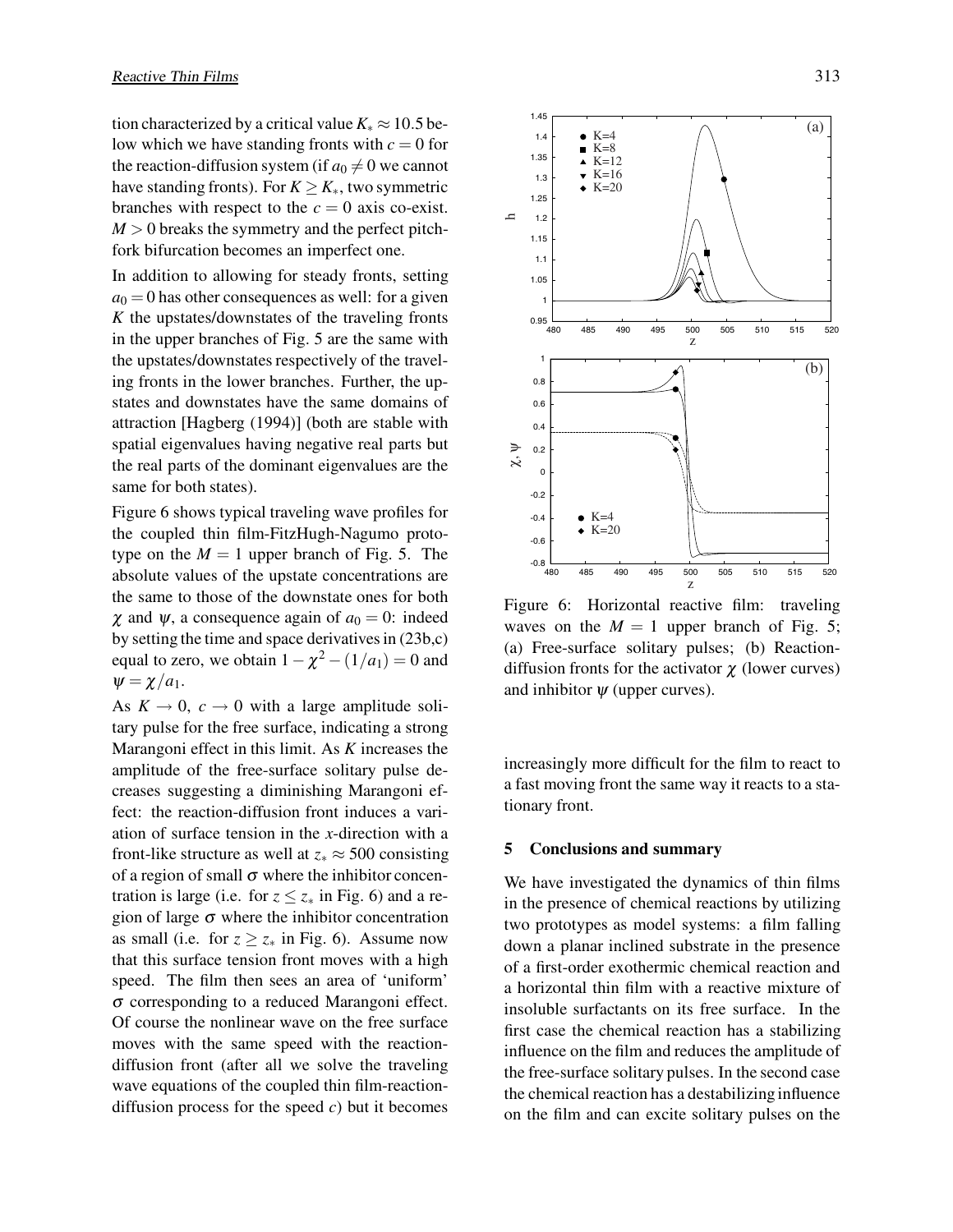tion characterized by a critical value  $K_* \approx 10.5$  below which we have standing fronts with  $c = 0$  for the reaction-diffusion system (if  $a_0 \neq 0$  we cannot have standing fronts). For  $K \ge K_*$ , two symmetric branches with respect to the  $c = 0$  axis co-exist.  $M > 0$  breaks the symmetry and the perfect pitchfork bifurcation becomes an imperfect one.

In addition to allowing for steady fronts, setting  $a_0 = 0$  has other consequences as well: for a given *K* the upstates/downstates of the traveling fronts in the upper branches of Fig. 5 are the same with the upstates/downstates respectively of the traveling fronts in the lower branches. Further, the upstates and downstates have the same domains of attraction [Hagberg (1994)] (both are stable with spatial eigenvalues having negative real parts but the real parts of the dominant eigenvalues are the same for both states).

Figure 6 shows typical traveling wave profiles for the coupled thin film-FitzHugh-Nagumo prototype on the  $M = 1$  upper branch of Fig. 5. The absolute values of the upstate concentrations are the same to those of the downstate ones for both  $\chi$  and  $\psi$ , a consequence again of  $a_0 = 0$ : indeed by setting the time and space derivatives in (23b,c) equal to zero, we obtain  $1 - \chi^2 - (1/a_1) = 0$  and  $\psi = \chi/a_1$ .

As  $K \to 0$ ,  $c \to 0$  with a large amplitude solitary pulse for the free surface, indicating a strong Marangoni effect in this limit. As *K* increases the amplitude of the free-surface solitary pulse decreases suggesting a diminishing Marangoni effect: the reaction-diffusion front induces a variation of surface tension in the *x*-direction with a front-like structure as well at  $z_* \approx 500$  consisting of a region of small  $\sigma$  where the inhibitor concentration is large (i.e. for  $z \le z_*$  in Fig. 6) and a region of large  $\sigma$  where the inhibitor concentration as small (i.e. for  $z \ge z_*$  in Fig. 6). Assume now that this surface tension front moves with a high speed. The film then sees an area of 'uniform' <sup>σ</sup> corresponding to a reduced Marangoni effect. Of course the nonlinear wave on the free surface moves with the same speed with the reactiondiffusion front (after all we solve the traveling wave equations of the coupled thin film-reactiondiffusion process for the speed *c*) but it becomes



Figure 6: Horizontal reactive film: traveling waves on the  $M = 1$  upper branch of Fig. 5; (a) Free-surface solitary pulses; (b) Reactiondiffusion fronts for the activator  $\chi$  (lower curves) and inhibitor  $\psi$  (upper curves).

increasingly more difficult for the film to react to a fast moving front the same way it reacts to a stationary front.

#### **5 Conclusions and summary**

We have investigated the dynamics of thin films in the presence of chemical reactions by utilizing two prototypes as model systems: a film falling down a planar inclined substrate in the presence of a first-order exothermic chemical reaction and a horizontal thin film with a reactive mixture of insoluble surfactants on its free surface. In the first case the chemical reaction has a stabilizing influence on the film and reduces the amplitude of the free-surface solitary pulses. In the second case the chemical reaction has a destabilizing influence on the film and can excite solitary pulses on the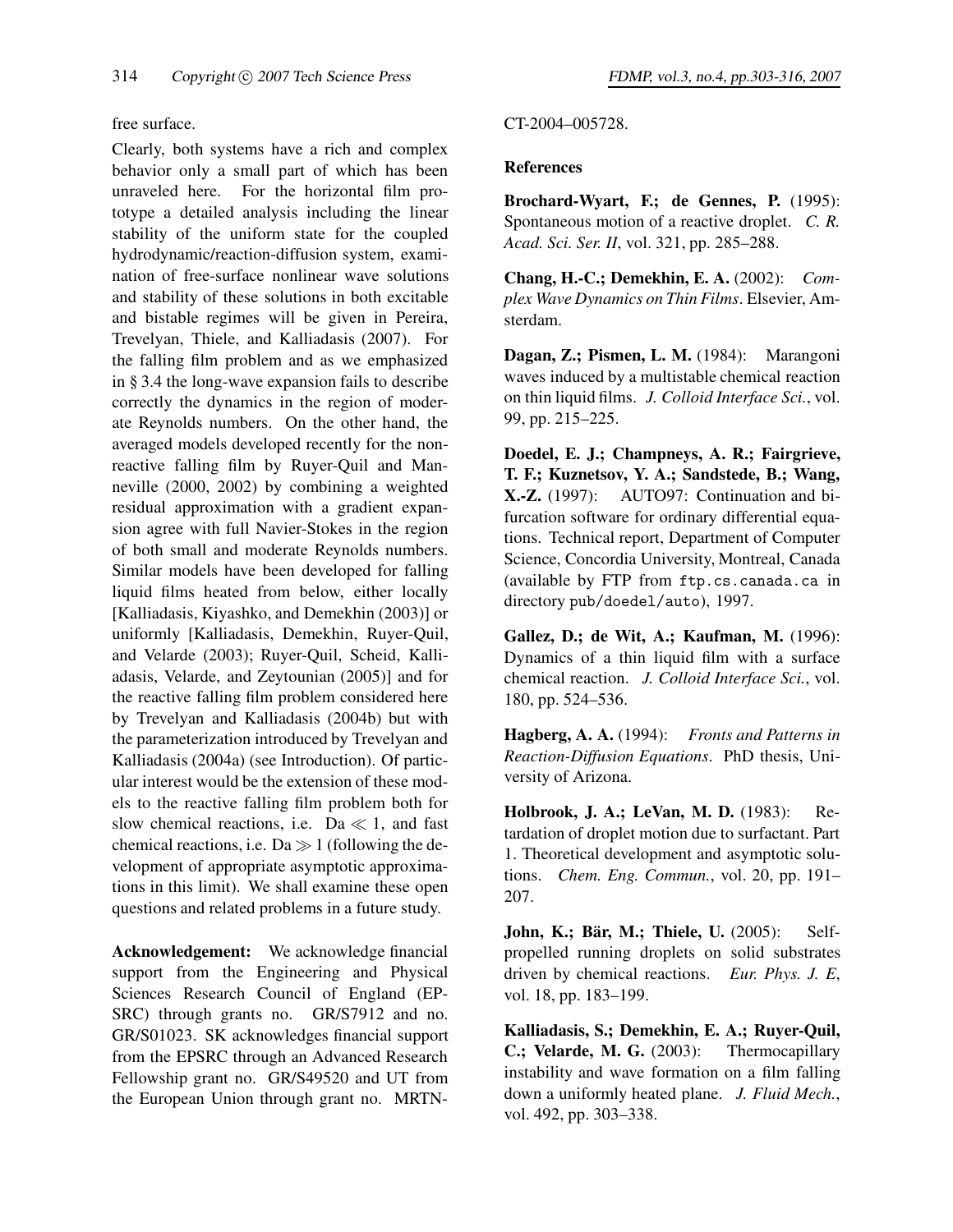## free surface.

Clearly, both systems have a rich and complex behavior only a small part of which has been unraveled here. For the horizontal film prototype a detailed analysis including the linear stability of the uniform state for the coupled hydrodynamic/reaction-diffusion system, examination of free-surface nonlinear wave solutions and stability of these solutions in both excitable and bistable regimes will be given in Pereira, Trevelyan, Thiele, and Kalliadasis (2007). For the falling film problem and as we emphasized in § 3.4 the long-wave expansion fails to describe correctly the dynamics in the region of moderate Reynolds numbers. On the other hand, the averaged models developed recently for the nonreactive falling film by Ruyer-Quil and Manneville (2000, 2002) by combining a weighted residual approximation with a gradient expansion agree with full Navier-Stokes in the region of both small and moderate Reynolds numbers. Similar models have been developed for falling liquid films heated from below, either locally [Kalliadasis, Kiyashko, and Demekhin (2003)] or uniformly [Kalliadasis, Demekhin, Ruyer-Quil, and Velarde (2003); Ruyer-Quil, Scheid, Kalliadasis, Velarde, and Zeytounian (2005)] and for the reactive falling film problem considered here by Trevelyan and Kalliadasis (2004b) but with the parameterization introduced by Trevelyan and Kalliadasis (2004a) (see Introduction). Of particular interest would be the extension of these models to the reactive falling film problem both for slow chemical reactions, i.e.  $Da \ll 1$ , and fast chemical reactions, i.e.  $Da \gg 1$  (following the development of appropriate asymptotic approximations in this limit). We shall examine these open questions and related problems in a future study.

**Acknowledgement:** We acknowledge financial support from the Engineering and Physical Sciences Research Council of England (EP-SRC) through grants no. GR/S7912 and no. GR/S01023. SK acknowledges financial support from the EPSRC through an Advanced Research Fellowship grant no. GR/S49520 and UT from the European Union through grant no. MRTN-

## CT-2004–005728.

## **References**

**Brochard-Wyart, F.; de Gennes, P.** (1995): Spontaneous motion of a reactive droplet. *C. R. Acad. Sci. Ser. II*, vol. 321, pp. 285–288.

**Chang, H.-C.; Demekhin, E. A.** (2002): *Complex Wave Dynamics on Thin Films*. Elsevier, Amsterdam.

**Dagan, Z.; Pismen, L. M.** (1984): Marangoni waves induced by a multistable chemical reaction on thin liquid films. *J. Colloid Interface Sci.*, vol. 99, pp. 215–225.

**Doedel, E. J.; Champneys, A. R.; Fairgrieve, T. F.; Kuznetsov, Y. A.; Sandstede, B.; Wang, X.-Z.** (1997): AUTO97: Continuation and bifurcation software for ordinary differential equations. Technical report, Department of Computer Science, Concordia University, Montreal, Canada (available by FTP from ftp.cs.canada.ca in directory pub/doedel/auto), 1997.

**Gallez, D.; de Wit, A.; Kaufman, M.** (1996): Dynamics of a thin liquid film with a surface chemical reaction. *J. Colloid Interface Sci.*, vol. 180, pp. 524–536.

**Hagberg, A. A.** (1994): *Fronts and Patterns in Reaction-Diffusion Equations*. PhD thesis, University of Arizona.

**Holbrook, J. A.; LeVan, M. D.** (1983): Retardation of droplet motion due to surfactant. Part 1. Theoretical development and asymptotic solutions. *Chem. Eng. Commun.*, vol. 20, pp. 191– 207.

**John, K.; Bär, M.; Thiele, U.** (2005): Selfpropelled running droplets on solid substrates driven by chemical reactions. *Eur. Phys. J. E*, vol. 18, pp. 183–199.

**Kalliadasis, S.; Demekhin, E. A.; Ruyer-Quil, C.; Velarde, M. G.** (2003): Thermocapillary instability and wave formation on a film falling down a uniformly heated plane. *J. Fluid Mech.*, vol. 492, pp. 303–338.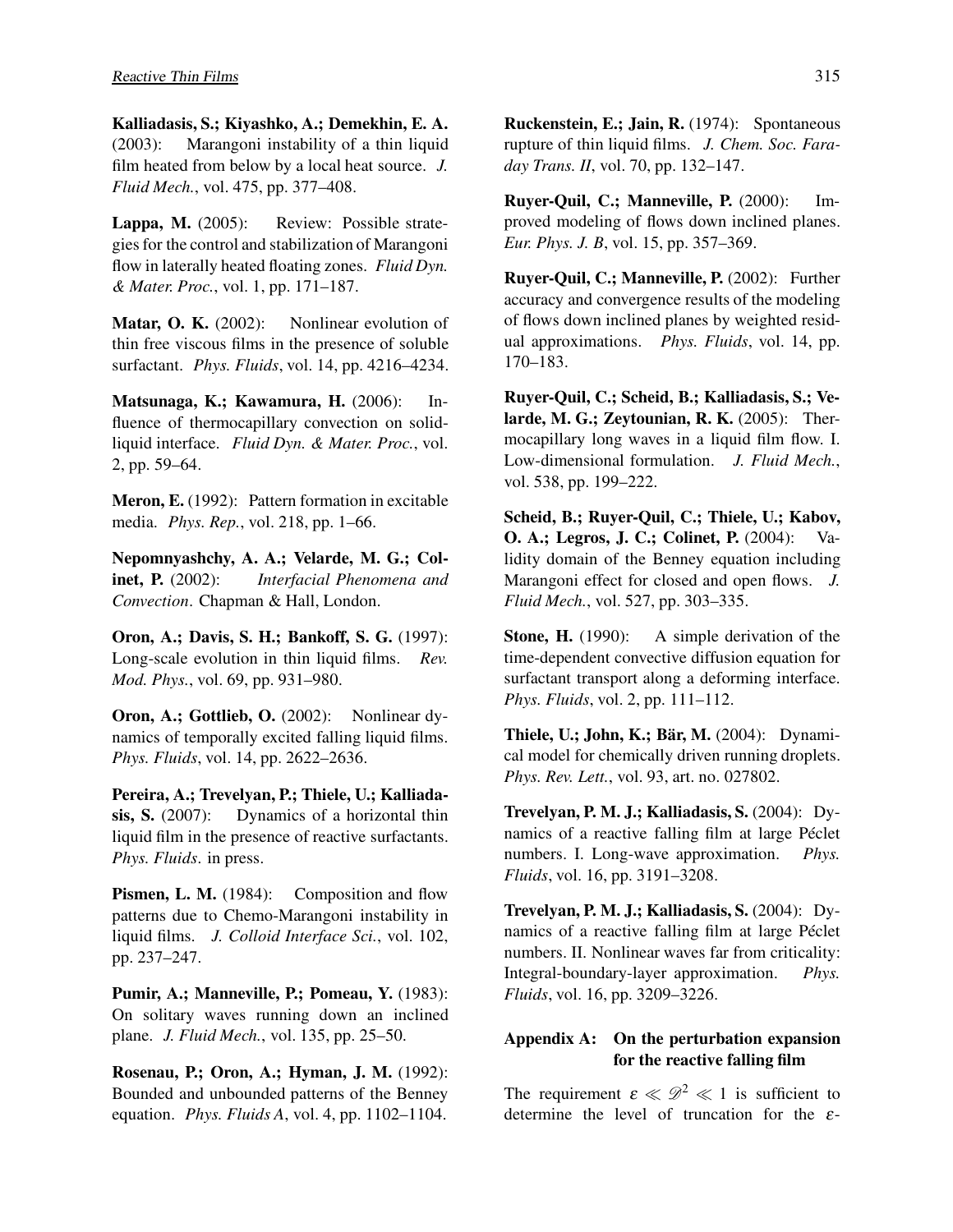**Kalliadasis, S.; Kiyashko, A.; Demekhin, E. A.** (2003): Marangoni instability of a thin liquid film heated from below by a local heat source. *J. Fluid Mech.*, vol. 475, pp. 377–408.

Lappa, M. (2005): Review: Possible strategies for the control and stabilization of Marangoni flow in laterally heated floating zones. *Fluid Dyn. & Mater. Proc.*, vol. 1, pp. 171–187.

**Matar, O. K.** (2002): Nonlinear evolution of thin free viscous films in the presence of soluble surfactant. *Phys. Fluids*, vol. 14, pp. 4216–4234.

**Matsunaga, K.; Kawamura, H.** (2006): Influence of thermocapillary convection on solidliquid interface. *Fluid Dyn. & Mater. Proc.*, vol. 2, pp. 59–64.

**Meron, E.** (1992): Pattern formation in excitable media. *Phys. Rep.*, vol. 218, pp. 1–66.

**Nepomnyashchy, A. A.; Velarde, M. G.; Colinet, P.** (2002): *Interfacial Phenomena and Convection*. Chapman & Hall, London.

**Oron, A.; Davis, S. H.; Bankoff, S. G.** (1997): Long-scale evolution in thin liquid films. *Rev. Mod. Phys.*, vol. 69, pp. 931–980.

**Oron, A.; Gottlieb, O.** (2002): Nonlinear dynamics of temporally excited falling liquid films. *Phys. Fluids*, vol. 14, pp. 2622–2636.

**Pereira, A.; Trevelyan, P.; Thiele, U.; Kalliadasis, S.** (2007): Dynamics of a horizontal thin liquid film in the presence of reactive surfactants. *Phys. Fluids*. in press.

**Pismen, L. M.** (1984): Composition and flow patterns due to Chemo-Marangoni instability in liquid films. *J. Colloid Interface Sci.*, vol. 102, pp. 237–247.

**Pumir, A.; Manneville, P.; Pomeau, Y.** (1983): On solitary waves running down an inclined plane. *J. Fluid Mech.*, vol. 135, pp. 25–50.

**Rosenau, P.; Oron, A.; Hyman, J. M.** (1992): Bounded and unbounded patterns of the Benney equation. *Phys. Fluids A*, vol. 4, pp. 1102–1104.

**Ruckenstein, E.; Jain, R.** (1974): Spontaneous rupture of thin liquid films. *J. Chem. Soc. Faraday Trans. II*, vol. 70, pp. 132–147.

**Ruyer-Quil, C.; Manneville, P.** (2000): Improved modeling of flows down inclined planes. *Eur. Phys. J. B*, vol. 15, pp. 357–369.

**Ruyer-Quil, C.; Manneville, P.** (2002): Further accuracy and convergence results of the modeling of flows down inclined planes by weighted residual approximations. *Phys. Fluids*, vol. 14, pp. 170–183.

**Ruyer-Quil, C.; Scheid, B.; Kalliadasis, S.; Velarde, M. G.; Zeytounian, R. K.** (2005): Thermocapillary long waves in a liquid film flow. I. Low-dimensional formulation. *J. Fluid Mech.*, vol. 538, pp. 199–222.

**Scheid, B.; Ruyer-Quil, C.; Thiele, U.; Kabov, O. A.; Legros, J. C.; Colinet, P.** (2004): Validity domain of the Benney equation including Marangoni effect for closed and open flows. *J. Fluid Mech.*, vol. 527, pp. 303–335.

**Stone, H.** (1990): A simple derivation of the time-dependent convective diffusion equation for surfactant transport along a deforming interface. *Phys. Fluids*, vol. 2, pp. 111–112.

**Thiele, U.; John, K.; Bär, M.** (2004): Dynamical model for chemically driven running droplets. *Phys. Rev. Lett.*, vol. 93, art. no. 027802.

**Trevelyan, P. M. J.; Kalliadasis, S.** (2004): Dynamics of a reactive falling film at large Péclet numbers. I. Long-wave approximation. *Phys. Fluids*, vol. 16, pp. 3191–3208.

**Trevelyan, P. M. J.; Kalliadasis, S.** (2004): Dynamics of a reactive falling film at large Péclet numbers. II. Nonlinear waves far from criticality: Integral-boundary-layer approximation. *Phys. Fluids*, vol. 16, pp. 3209–3226.

## **Appendix A: On the perturbation expansion for the reactive falling film**

The requirement  $\varepsilon \ll \mathcal{D}^2 \ll 1$  is sufficient to determine the level of truncation for the <sup>ε</sup>-